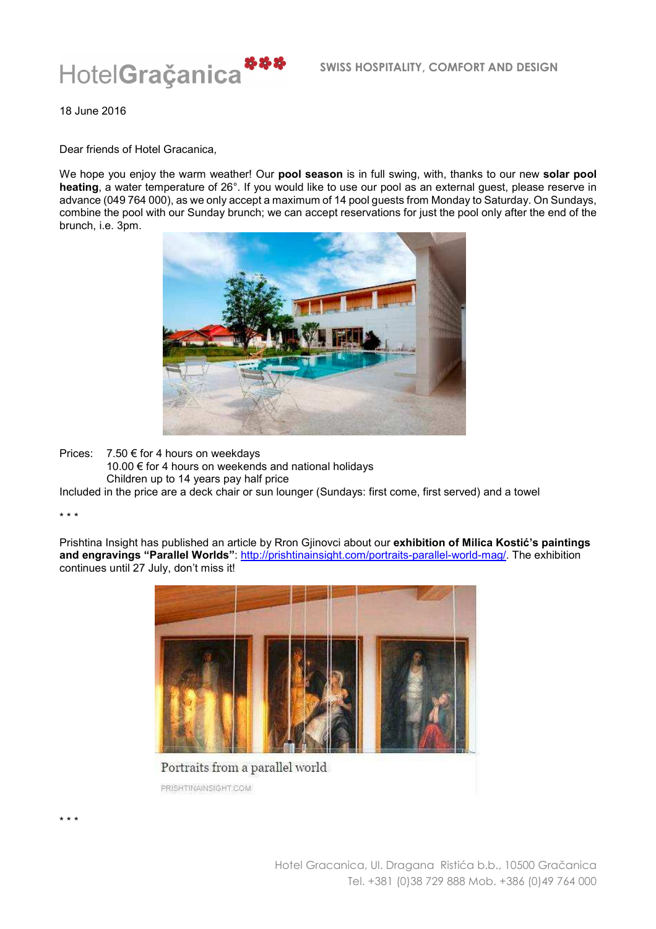

18 June 2016

Dear friends of Hotel Gracanica,

We hope you enjoy the warm weather! Our **pool season** is in full swing, with, thanks to our new **solar pool heating**, a water temperature of 26°. If you would like to use our pool as an external guest, please reserve in advance (049 764 000), as we only accept a maximum of 14 pool guests from Monday to Saturday. On Sundays, combine the pool with our Sunday brunch; we can accept reservations for just the pool only after the end of the brunch, i.e. 3pm.



Prices: 7.50 € for 4 hours on weekdays

10.00 € for 4 hours on weekends and national holidays Children up to 14 years pay half price

Included in the price are a deck chair or sun lounger (Sundays: first come, first served) and a towel

\* \* \*

\* \* \*

Prishtina Insight has published an article by Rron Gjinovci about our **exhibition of Milica Kostić's paintings and engravings "Parallel Worlds"**: http://prishtinainsight.com/portraits-parallel-world-mag/. The exhibition continues until 27 July, don't miss it!



Portraits from a parallel world PRISHTINAINSIGHT COM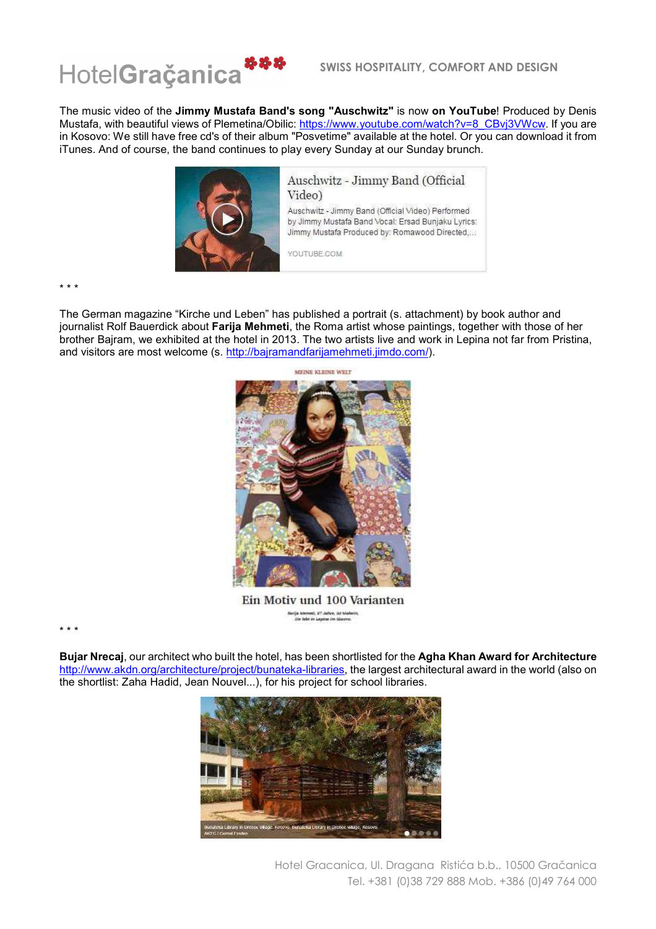

The music video of the **Jimmy Mustafa Band's song "Auschwitz"** is now **on YouTube**! Produced by Denis Mustafa, with beautiful views of Plemetina/Obilic: <u>https://www.youtube.com/watch?v=8\_CBvj3VWcw</u>. If you are in Kosovo: We still have free cd's of their album "Posvetime" available at the hotel. Or you can download it from iTunes. And of course, the band continues to play every Sunday at our Sunday brunch.



\* \* \*

The German magazine "Kirche und Leben" has published a portrait (s. attachment) by book author and journalist Rolf Bauerdick about **Farija Mehmeti**, the Roma artist whose paintings, together with those of her brother Bajram, we exhibited at the hotel in 2013. The two artists live and work in Lepina not far from Pristina, and visitors are most welcome (s. http://bajramandfarijamehmeti.jimdo.com/).



Ein Motiv und 100 Varianten .<br>Facija Memed, 27 Julien, Jat Malerin,<br>Sie leht in Lepine (m. Kopovo,

\* \* \*

**Bujar Nrecaj**, our architect who built the hotel, has been shortlisted for the **Agha Khan Award for Architecture** http://www.akdn.org/architecture/project/bunateka-libraries, the largest architectural award in the world (also on the shortlist: Zaha Hadid, Jean Nouvel...), for his project for school libraries.



Hotel Gracanica, Ul. Dragana Ristića b.b., 10500 Gračanica Tel. +381 (0)38 729 888 Mob. +386 (0)49 764 000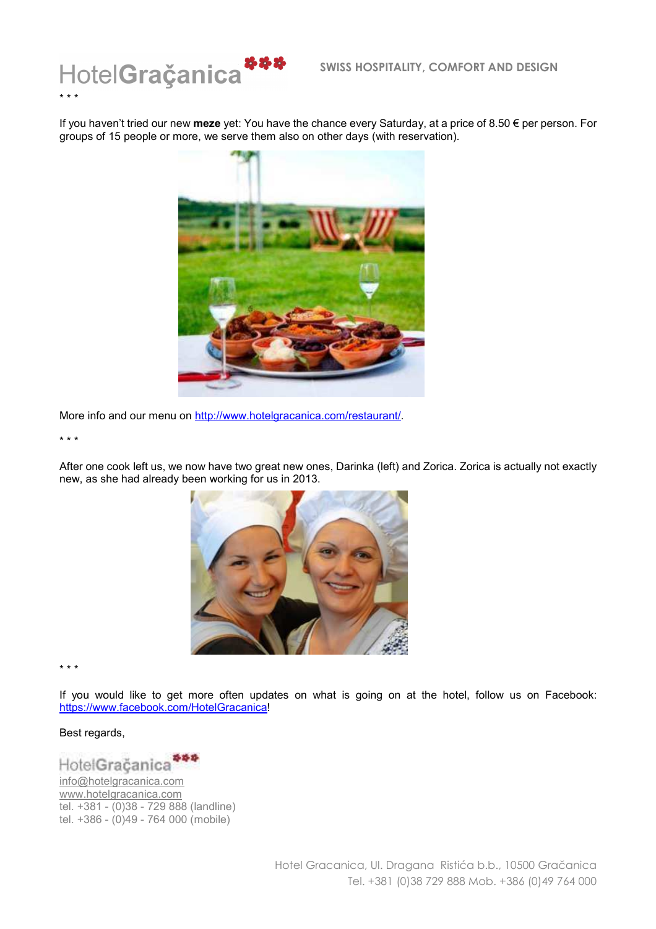

If you haven't tried our new **meze** yet: You have the chance every Saturday, at a price of 8.50 € per person. For groups of 15 people or more, we serve them also on other days (with reservation).



More info and our menu on http://www.hotelgracanica.com/restaurant/.

\* \* \*

After one cook left us, we now have two great new ones, Darinka (left) and Zorica. Zorica is actually not exactly new, as she had already been working for us in 2013.



\* \* \*

If you would like to get more often updates on what is going on at the hotel, follow us on Facebook: https://www.facebook.com/HotelGracanica!

## Best regards,



info@hotelgracanica.com www.hotelgracanica.com tel. +381 - (0)38 - 729 888 (landline) tel. +386 - (0)49 - 764 000 (mobile)